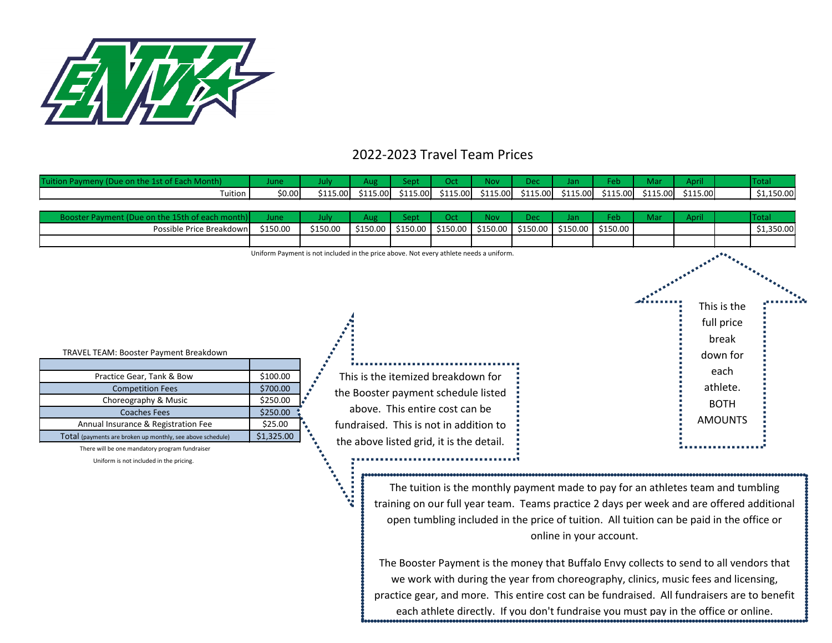

## 2022-2023 Travel Team Prices

| Tuit    |        |          |           |          |                            | an.      |          |          |          |            |
|---------|--------|----------|-----------|----------|----------------------------|----------|----------|----------|----------|------------|
| Tuition | \$0.00 | \$115.00 | \$115.00L | \$115.00 | \$115.00 \$115.00 \$115.00 | \$115.00 | \$115.00 | \$115.00 | \$115.00 | \$1,150.00 |

| Booster Payment (Due on the 15th of each month)                                                                                                                                                                                                                                                                                                 | June                                                                  | July                                                                                   | Aug                                                                                                                                                                                               | Sept     | Oct      | Nov      | Dec      | Jan      | Feb                                                                                      | Mar | April |                                                                                                     | <b>Total</b>                                                                              |
|-------------------------------------------------------------------------------------------------------------------------------------------------------------------------------------------------------------------------------------------------------------------------------------------------------------------------------------------------|-----------------------------------------------------------------------|----------------------------------------------------------------------------------------|---------------------------------------------------------------------------------------------------------------------------------------------------------------------------------------------------|----------|----------|----------|----------|----------|------------------------------------------------------------------------------------------|-----|-------|-----------------------------------------------------------------------------------------------------|-------------------------------------------------------------------------------------------|
| Possible Price Breakdown                                                                                                                                                                                                                                                                                                                        | \$150.00                                                              | \$150.00                                                                               | \$150.00                                                                                                                                                                                          | \$150.00 | \$150.00 | \$150.00 | \$150.00 | \$150.00 | \$150.00                                                                                 |     |       |                                                                                                     | \$1,350.00                                                                                |
|                                                                                                                                                                                                                                                                                                                                                 |                                                                       |                                                                                        |                                                                                                                                                                                                   |          |          |          |          |          |                                                                                          |     |       |                                                                                                     |                                                                                           |
| TRAVEL TEAM: Booster Payment Breakdown<br>Practice Gear, Tank & Bow<br><b>Competition Fees</b><br>Choreography & Music<br><b>Coaches Fees</b><br>Annual Insurance & Registration Fee<br>Total (payments are broken up monthly, see above schedule)<br>There will be one mandatory program fundraiser<br>Uniform is not included in the pricing. | \$100.00<br>\$700.00<br>\$250.00<br>\$250.00<br>\$25.00<br>\$1,325.00 | Uniform Payment is not included in the price above. Not every athlete needs a uniform. | This is the itemized breakdown for<br>the Booster payment schedule listed<br>above. This entire cost can be<br>fundraised. This is not in addition to<br>the above listed grid, it is the detail. |          |          |          |          |          |                                                                                          |     |       | This is the<br>full price<br>break<br>down for<br>each<br>athlete.<br><b>BOTH</b><br><b>AMOUNTS</b> |                                                                                           |
|                                                                                                                                                                                                                                                                                                                                                 |                                                                       |                                                                                        | $+1$<br>۰.                                                                                                                                                                                        |          |          |          |          |          | The tuition is the monthly payment made to pay for an athletes team and tumbling         |     |       |                                                                                                     |                                                                                           |
|                                                                                                                                                                                                                                                                                                                                                 |                                                                       |                                                                                        |                                                                                                                                                                                                   |          |          |          |          |          |                                                                                          |     |       |                                                                                                     | training on our full year team. Teams practice 2 days per week and are offered additional |
|                                                                                                                                                                                                                                                                                                                                                 |                                                                       |                                                                                        |                                                                                                                                                                                                   |          |          |          |          |          | open tumbling included in the price of tuition. All tuition can be paid in the office or |     |       |                                                                                                     |                                                                                           |
|                                                                                                                                                                                                                                                                                                                                                 |                                                                       |                                                                                        |                                                                                                                                                                                                   |          |          |          |          |          | online in your account.                                                                  |     |       |                                                                                                     |                                                                                           |

The Booster Payment is the money that Buffalo Envy collects to send to all vendors that we work with during the year from choreography, clinics, music fees and licensing, practice gear, and more. This entire cost can be fundraised. All fundraisers are to benefit each athlete directly. If you don't fundraise you must pay in the office or online.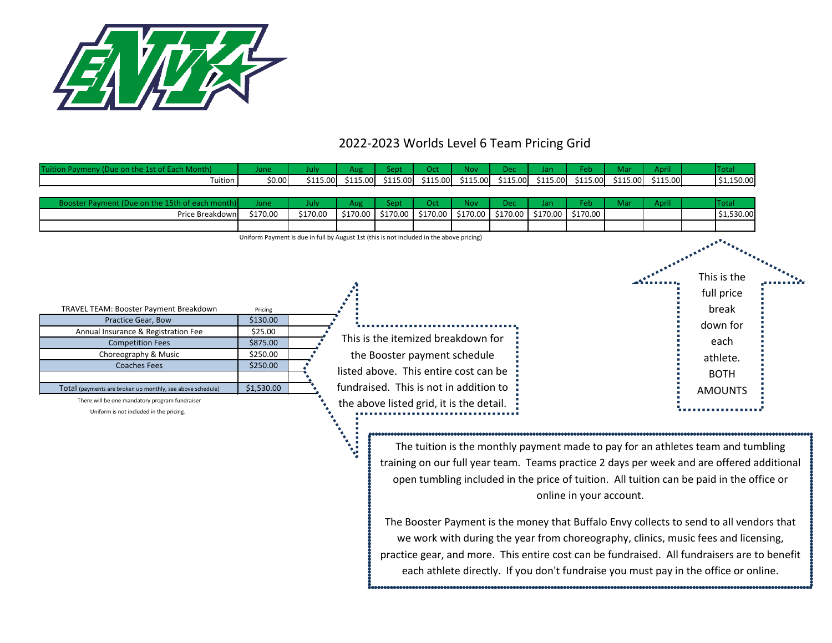

## 2022-2023 Worlds Level 6 Team Pricing Grid

| Tuition Paymeny (Due on the 1st of Each Month)               | June                                                                                     | July     | Aug      | Sept     | Oct      | <b>Nov</b>                               | Dec      | Jan      | Feb                     | Mar      | April    | <b>Total</b>                                                                                |  |
|--------------------------------------------------------------|------------------------------------------------------------------------------------------|----------|----------|----------|----------|------------------------------------------|----------|----------|-------------------------|----------|----------|---------------------------------------------------------------------------------------------|--|
| Tuition                                                      | \$0.00                                                                                   | \$115.00 | \$115.00 | \$115.00 | \$115.00 | \$115.00                                 | \$115.00 | \$115.00 | \$115.00                | \$115.00 | \$115.00 | \$1,150.00                                                                                  |  |
| Booster Payment (Due on the 15th of each month               | June                                                                                     | July     | Aug      | Sept     | Oct      | <b>Nov</b>                               | Dec      | Jan      | Feb                     | Mar      | April    | <b>Total</b>                                                                                |  |
| Price Breakdown                                              | \$170.00                                                                                 | \$170.00 | \$170.00 | \$170.00 | \$170.00 | \$170.00                                 | \$170.00 | \$170.00 | \$170.00                |          |          | \$1,530.00                                                                                  |  |
|                                                              | Uniform Payment is due in full by August 1st (this is not included in the above pricing) |          |          |          |          |                                          |          |          |                         |          |          | This is the<br>full price                                                                   |  |
| TRAVEL TEAM: Booster Payment Breakdown<br>Practice Gear, Bow | Pricing<br>\$130.00                                                                      |          |          |          |          |                                          |          |          |                         |          |          | break                                                                                       |  |
| Annual Insurance & Registration Fee                          | \$25.00                                                                                  |          |          |          |          |                                          |          |          |                         |          |          | down for                                                                                    |  |
| <b>Competition Fees</b>                                      | \$875.00                                                                                 |          |          |          |          | This is the itemized breakdown for       |          |          |                         |          |          | each                                                                                        |  |
| Choreography & Music                                         | \$250.00                                                                                 |          |          |          |          | the Booster payment schedule             |          |          |                         |          |          | athlete.                                                                                    |  |
| <b>Coaches Fees</b>                                          | \$250.00                                                                                 |          |          |          |          | listed above. This entire cost can be    |          |          |                         |          |          | <b>BOTH</b>                                                                                 |  |
| Total (payments are broken up monthly, see above schedule)   | \$1,530.00                                                                               |          |          |          |          | fundraised. This is not in addition to   |          |          |                         |          |          | <b>AMOUNTS</b>                                                                              |  |
| There will be one mandatory program fundraiser               |                                                                                          |          |          |          |          | the above listed grid, it is the detail. |          |          |                         |          |          |                                                                                             |  |
| Uniform is not included in the pricing.                      |                                                                                          |          |          |          |          |                                          |          |          |                         |          |          |                                                                                             |  |
|                                                              |                                                                                          |          |          |          |          |                                          |          |          |                         |          |          | The tuition is the monthly payment made to pay for an athletes team and tumbling            |  |
|                                                              |                                                                                          |          |          |          |          |                                          |          |          |                         |          |          | training on our full year team. Teams practice 2 days per week and are offered additional   |  |
|                                                              |                                                                                          |          |          |          |          |                                          |          |          |                         |          |          | open tumbling included in the price of tuition. All tuition can be paid in the office or    |  |
|                                                              |                                                                                          |          |          |          |          |                                          |          |          | online in your account. |          |          |                                                                                             |  |
|                                                              | The Booster Payment is the money that Buffalo Envy collects to send to all vendors that  |          |          |          |          |                                          |          |          |                         |          |          |                                                                                             |  |
|                                                              |                                                                                          |          |          |          |          |                                          |          |          |                         |          |          | we work with during the year from choreography, clinics, music fees and licensing,          |  |
|                                                              |                                                                                          |          |          |          |          |                                          |          |          |                         |          |          | practice gear, and more. This entire cost can be fundraised. All fundraisers are to benefit |  |
|                                                              |                                                                                          |          |          |          |          |                                          |          |          |                         |          |          | each athlete directly. If you don't fundraise you must pay in the office or online.         |  |